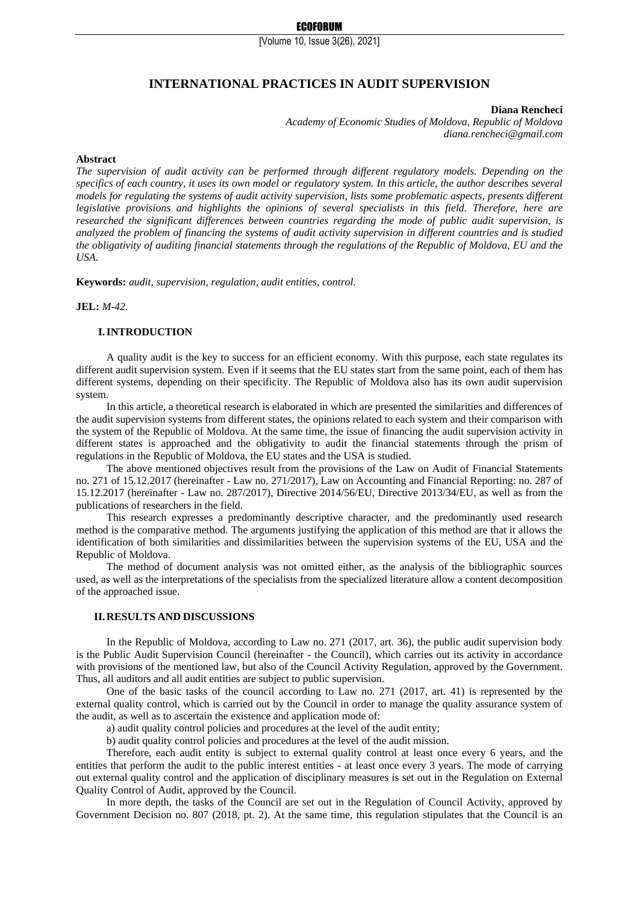[Volume 10, Issue 3(26), 2021]

# **INTERNATIONAL PRACTICES IN AUDIT SUPERVISION**

**Diana Rencheci**

*Academy of Economic Studies of Moldova, Republic of Moldova diana.rencheci@gmail.com*

#### **Abstract**

*The supervision of audit activity can be performed through different regulatory models. Depending on the specifics of each country, it uses its own model or regulatory system. In this article, the author describes several models for regulating the systems of audit activity supervision, lists some problematic aspects, presents different legislative provisions and highlights the opinions of several specialists in this field. Therefore, here are researched the significant differences between countries regarding the mode of public audit supervision, is analyzed the problem of financing the systems of audit activity supervision in different countries and is studied the obligativity of auditing financial statements through the regulations of the Republic of Moldova, EU and the USA.* 

**Keywords:** *audit, supervision, regulation, audit entities, control.*

#### **JEL:** *M-42.*

#### **I.INTRODUCTION**

A quality audit is the key to success for an efficient economy. With this purpose, each state regulates its different audit supervision system. Even if it seems that the EU states start from the same point, each of them has different systems, depending on their specificity. The Republic of Moldova also has its own audit supervision system.

In this article, a theoretical research is elaborated in which are presented the similarities and differences of the audit supervision systems from different states, the opinions related to each system and their comparison with the system of the Republic of Moldova. At the same time, the issue of financing the audit supervision activity in different states is approached and the obligativity to audit the financial statements through the prism of regulations in the Republic of Moldova, the EU states and the USA is studied.

The above mentioned objectives result from the provisions of the Law on Audit of Financial Statements no. 271 of 15.12.2017 (hereinafter - Law no. 271/2017), Law on Accounting and Financial Reporting: no. 287 of 15.12.2017 (hereinafter - Law no. 287/2017), Directive 2014/56/EU, Directive 2013/34/EU, as well as from the publications of researchers in the field.

This research expresses a predominantly descriptive character, and the predominantly used research method is the comparative method. The arguments justifying the application of this method are that it allows the identification of both similarities and dissimilarities between the supervision systems of the EU, USA and the Republic of Moldova.

The method of document analysis was not omitted either, as the analysis of the bibliographic sources used, as well as the interpretations of the specialists from the specialized literature allow a content decomposition of the approached issue.

## **II.RESULTS AND DISCUSSIONS**

In the Republic of Moldova, according to Law no. 271 (2017, art. 36), the public audit supervision body is the Public Audit Supervision Council (hereinafter - the Council), which carries out its activity in accordance with provisions of the mentioned law, but also of the Council Activity Regulation, approved by the Government. Thus, all auditors and all audit entities are subject to public supervision.

One of the basic tasks of the council according to Law no. 271 (2017, art. 41) is represented by the external quality control, which is carried out by the Council in order to manage the quality assurance system of the audit, as well as to ascertain the existence and application mode of:

a) audit quality control policies and procedures at the level of the audit entity;

b) audit quality control policies and procedures at the level of the audit mission.

Therefore, each audit entity is subject to external quality control at least once every 6 years, and the entities that perform the audit to the public interest entities - at least once every 3 years. The mode of carrying out external quality control and the application of disciplinary measures is set out in the Regulation on External Quality Control of Audit, approved by the Council.

In more depth, the tasks of the Council are set out in the Regulation of Council Activity, approved by Government Decision no. 807 (2018, pt. 2). At the same time, this regulation stipulates that the Council is an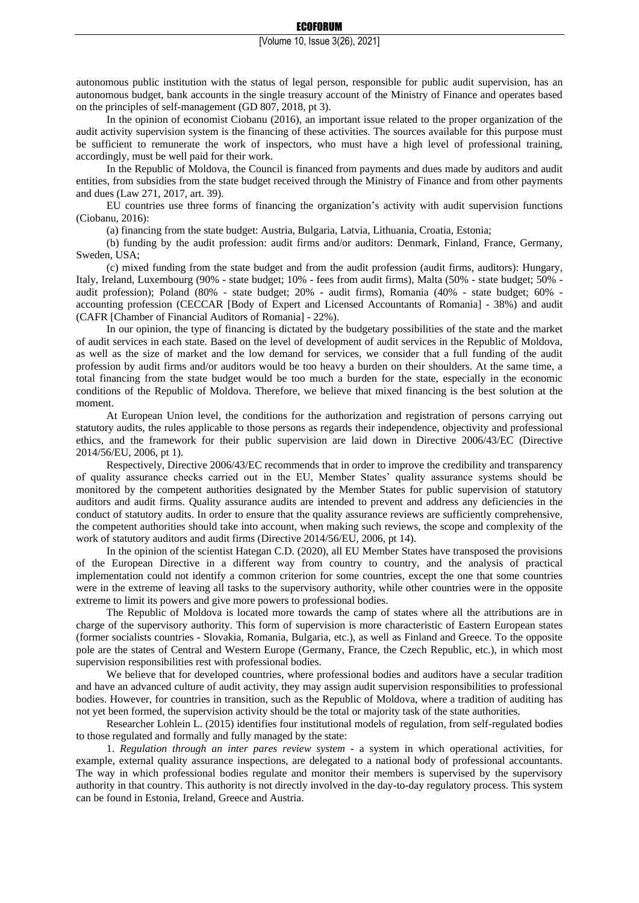autonomous public institution with the status of legal person, responsible for public audit supervision, has an autonomous budget, bank accounts in the single treasury account of the Ministry of Finance and operates based on the principles of self-management (GD 807, 2018, pt 3).

In the opinion of economist Ciobanu (2016), an important issue related to the proper organization of the audit activity supervision system is the financing of these activities. The sources available for this purpose must be sufficient to remunerate the work of inspectors, who must have a high level of professional training, accordingly, must be well paid for their work.

In the Republic of Moldova, the Council is financed from payments and dues made by auditors and audit entities, from subsidies from the state budget received through the Ministry of Finance and from other payments and dues (Law 271, 2017, art. 39).

EU countries use three forms of financing the organization's activity with audit supervision functions (Ciobanu, 2016):

(a) financing from the state budget: Austria, Bulgaria, Latvia, Lithuania, Croatia, Estonia;

(b) funding by the audit profession: audit firms and/or auditors: Denmark, Finland, France, Germany, Sweden, USA;

(c) mixed funding from the state budget and from the audit profession (audit firms, auditors): Hungary, Italy, Ireland, Luxembourg (90% - state budget; 10% - fees from audit firms), Malta (50% - state budget; 50% audit profession); Poland (80% - state budget; 20% - audit firms), Romania (40% - state budget; 60% accounting profession (CECCAR [Body of Expert and Licensed Accountants of Romania] - 38%) and audit (CAFR [Chamber of Financial Auditors of Romania] - 22%).

In our opinion, the type of financing is dictated by the budgetary possibilities of the state and the market of audit services in each state. Based on the level of development of audit services in the Republic of Moldova, as well as the size of market and the low demand for services, we consider that a full funding of the audit profession by audit firms and/or auditors would be too heavy a burden on their shoulders. At the same time, a total financing from the state budget would be too much a burden for the state, especially in the economic conditions of the Republic of Moldova. Therefore, we believe that mixed financing is the best solution at the moment.

At European Union level, the conditions for the authorization and registration of persons carrying out statutory audits, the rules applicable to those persons as regards their independence, objectivity and professional ethics, and the framework for their public supervision are laid down in Directive 2006/43/EC (Directive 2014/56/EU, 2006, pt 1).

Respectively, Directive 2006/43/EC recommends that in order to improve the credibility and transparency of quality assurance checks carried out in the EU, Member States' quality assurance systems should be monitored by the competent authorities designated by the Member States for public supervision of statutory auditors and audit firms. Quality assurance audits are intended to prevent and address any deficiencies in the conduct of statutory audits. In order to ensure that the quality assurance reviews are sufficiently comprehensive, the competent authorities should take into account, when making such reviews, the scope and complexity of the work of statutory auditors and audit firms (Directive 2014/56/EU, 2006, pt 14).

In the opinion of the scientist Hategan C.D. (2020), all EU Member States have transposed the provisions of the European Directive in a different way from country to country, and the analysis of practical implementation could not identify a common criterion for some countries, except the one that some countries were in the extreme of leaving all tasks to the supervisory authority, while other countries were in the opposite extreme to limit its powers and give more powers to professional bodies.

The Republic of Moldova is located more towards the camp of states where all the attributions are in charge of the supervisory authority. This form of supervision is more characteristic of Eastern European states (former socialists countries - Slovakia, Romania, Bulgaria, etc.), as well as Finland and Greece. To the opposite pole are the states of Central and Western Europe (Germany, France, the Czech Republic, etc.), in which most supervision responsibilities rest with professional bodies.

We believe that for developed countries, where professional bodies and auditors have a secular tradition and have an advanced culture of audit activity, they may assign audit supervision responsibilities to professional bodies. However, for countries in transition, such as the Republic of Moldova, where a tradition of auditing has not yet been formed, the supervision activity should be the total or majority task of the state authorities.

Researcher Lohlein L. (2015) identifies four institutional models of regulation, from self-regulated bodies to those regulated and formally and fully managed by the state:

1. *Regulation through an inter pares review system* - a system in which operational activities, for example, external quality assurance inspections, are delegated to a national body of professional accountants. The way in which professional bodies regulate and monitor their members is supervised by the supervisory authority in that country. This authority is not directly involved in the day-to-day regulatory process. This system can be found in Estonia, Ireland, Greece and Austria.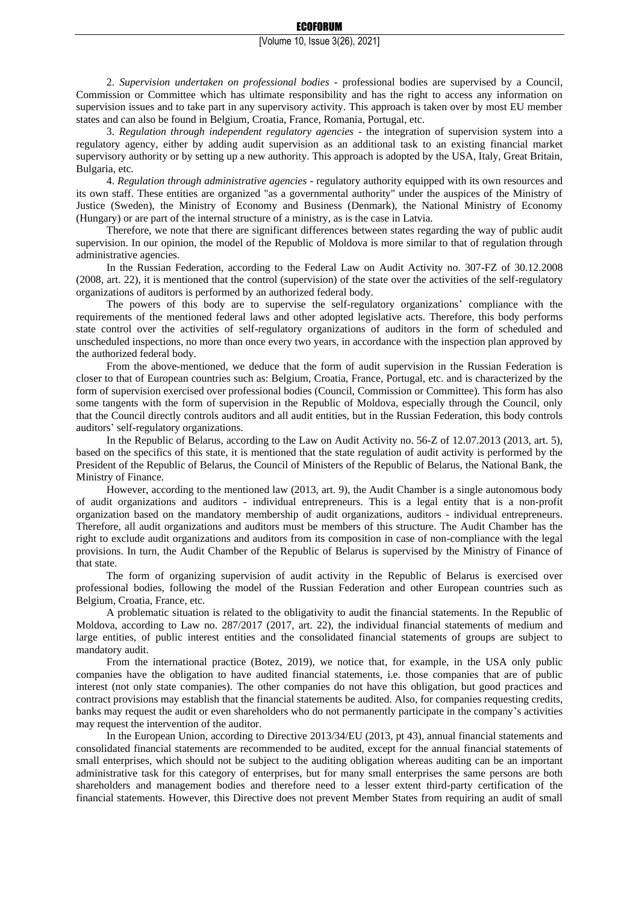2. *Supervision undertaken on professional bodies* - professional bodies are supervised by a Council, Commission or Committee which has ultimate responsibility and has the right to access any information on supervision issues and to take part in any supervisory activity. This approach is taken over by most EU member states and can also be found in Belgium, Croatia, France, Romania, Portugal, etc.

3. *Regulation through independent regulatory agencies* - the integration of supervision system into a regulatory agency, either by adding audit supervision as an additional task to an existing financial market supervisory authority or by setting up a new authority. This approach is adopted by the USA, Italy, Great Britain, Bulgaria, etc.

4. *Regulation through administrative agencies* - regulatory authority equipped with its own resources and its own staff. These entities are organized "as a governmental authority" under the auspices of the Ministry of Justice (Sweden), the Ministry of Economy and Business (Denmark), the National Ministry of Economy (Hungary) or are part of the internal structure of a ministry, as is the case in Latvia.

Therefore, we note that there are significant differences between states regarding the way of public audit supervision. In our opinion, the model of the Republic of Moldova is more similar to that of regulation through administrative agencies.

In the Russian Federation, according to the Federal Law on Audit Activity no. 307-FZ of 30.12.2008 (2008, art. 22), it is mentioned that the control (supervision) of the state over the activities of the self-regulatory organizations of auditors is performed by an authorized federal body.

The powers of this body are to supervise the self-regulatory organizations' compliance with the requirements of the mentioned federal laws and other adopted legislative acts. Therefore, this body performs state control over the activities of self-regulatory organizations of auditors in the form of scheduled and unscheduled inspections, no more than once every two years, in accordance with the inspection plan approved by the authorized federal body.

From the above-mentioned, we deduce that the form of audit supervision in the Russian Federation is closer to that of European countries such as: Belgium, Croatia, France, Portugal, etc. and is characterized by the form of supervision exercised over professional bodies (Council, Commission or Committee). This form has also some tangents with the form of supervision in the Republic of Moldova, especially through the Council, only that the Council directly controls auditors and all audit entities, but in the Russian Federation, this body controls auditors' self-regulatory organizations.

In the Republic of Belarus, according to the Law on Audit Activity no. 56-Z of 12.07.2013 (2013, art. 5), based on the specifics of this state, it is mentioned that the state regulation of audit activity is performed by the President of the Republic of Belarus, the Council of Ministers of the Republic of Belarus, the National Bank, the Ministry of Finance.

However, according to the mentioned law (2013, art. 9), the Audit Chamber is a single autonomous body of audit organizations and auditors - individual entrepreneurs. This is a legal entity that is a non-profit organization based on the mandatory membership of audit organizations, auditors - individual entrepreneurs. Therefore, all audit organizations and auditors must be members of this structure. The Audit Chamber has the right to exclude audit organizations and auditors from its composition in case of non-compliance with the legal provisions. In turn, the Audit Chamber of the Republic of Belarus is supervised by the Ministry of Finance of that state.

The form of organizing supervision of audit activity in the Republic of Belarus is exercised over professional bodies, following the model of the Russian Federation and other European countries such as Belgium, Croatia, France, etc.

A problematic situation is related to the obligativity to audit the financial statements. In the Republic of Moldova, according to Law no. 287/2017 (2017, art. 22), the individual financial statements of medium and large entities, of public interest entities and the consolidated financial statements of groups are subject to mandatory audit.

From the international practice (Botez, 2019), we notice that, for example, in the USA only public companies have the obligation to have audited financial statements, i.e. those companies that are of public interest (not only state companies). The other companies do not have this obligation, but good practices and contract provisions may establish that the financial statements be audited. Also, for companies requesting credits, banks may request the audit or even shareholders who do not permanently participate in the company's activities may request the intervention of the auditor.

In the European Union, according to Directive 2013/34/EU (2013, pt 43), annual financial statements and consolidated financial statements are recommended to be audited, except for the annual financial statements of small enterprises, which should not be subject to the auditing obligation whereas auditing can be an important administrative task for this category of enterprises, but for many small enterprises the same persons are both shareholders and management bodies and therefore need to a lesser extent third-party certification of the financial statements. However, this Directive does not prevent Member States from requiring an audit of small